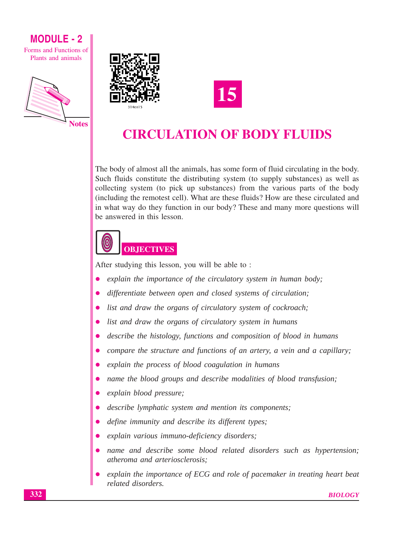Forms and Functions of Plants and animals







# **CIRCULATION OF BODY FLUIDS**

The body of almost all the animals, has some form of fluid circulating in the body. Such fluids constitute the distributing system (to supply substances) as well as collecting system (to pick up substances) from the various parts of the body (including the remotest cell). What are these fluids? How are these circulated and in what way do they function in our body? These and many more questions will be answered in this lesson.



After studying this lesson, you will be able to:

- explain the importance of the circulatory system in human body;
- differentiate between open and closed systems of circulation;
- list and draw the organs of circulatory system of cockroach;
- list and draw the organs of circulatory system in humans
- describe the histology, functions and composition of blood in humans
- compare the structure and functions of an artery, a vein and a capillary;  $\bullet$
- explain the process of blood coagulation in humans
- name the blood groups and describe modalities of blood transfusion;  $\bullet$
- explain blood pressure;  $\bullet$
- describe lymphatic system and mention its components;
- define immunity and describe its different types;  $\bullet$
- explain various immuno-deficiency disorders;
- name and describe some blood related disorders such as hypertension;  $\bullet$ atheroma and arteriosclerosis:
- explain the importance of ECG and role of pacemaker in treating heart beat related disorders.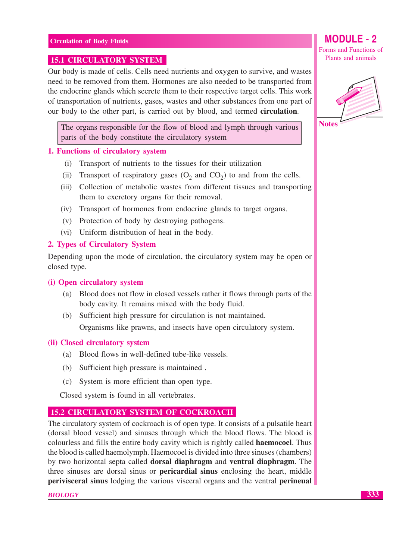#### **15.1 CIRCULATORY SYSTEM**

Our body is made of cells. Cells need nutrients and oxygen to survive, and wastes need to be removed from them. Hormones are also needed to be transported from the endocrine glands which secrete them to their respective target cells. This work of transportation of nutrients, gases, wastes and other substances from one part of our body to the other part, is carried out by blood, and termed **circulation**.

The organs responsible for the flow of blood and lymph through various parts of the body constitute the circulatory system

#### 1. Functions of circulatory system

- (i) Transport of nutrients to the tissues for their utilization
- Transport of respiratory gases  $(O_2 \text{ and } CO_2)$  to and from the cells.  $(ii)$
- (iii) Collection of metabolic wastes from different tissues and transporting them to excretory organs for their removal.
- (iv) Transport of hormones from endocrine glands to target organs.
- (v) Protection of body by destroying pathogens.
- (vi) Uniform distribution of heat in the body.

#### 2. Types of Circulatory System

Depending upon the mode of circulation, the circulatory system may be open or closed type.

#### (i) Open circulatory system

- (a) Blood does not flow in closed vessels rather it flows through parts of the body cavity. It remains mixed with the body fluid.
- (b) Sufficient high pressure for circulation is not maintained. Organisms like prawns, and insects have open circulatory system.

#### (ii) Closed circulatory system

- (a) Blood flows in well-defined tube-like vessels.
- (b) Sufficient high pressure is maintained.
- (c) System is more efficient than open type.

Closed system is found in all vertebrates.

#### **15.2 CIRCULATORY SYSTEM OF COCKROACH**

The circulatory system of cockroach is of open type. It consists of a pulsatile heart (dorsal blood vessel) and sinuses through which the blood flows. The blood is colourless and fills the entire body cavity which is rightly called **haemocoel**. Thus the blood is called haemolymph. Haemocoel is divided into three sinuses (chambers) by two horizontal septa called **dorsal diaphragm** and **ventral diaphragm**. The three sinuses are dorsal sinus or **pericardial sinus** enclosing the heart, middle **perivisceral sinus** lodging the various visceral organs and the ventral **perineual** 

**BIOLOGY** 

# **MODULE - 2**

Forms and Functions of Plants and animals



333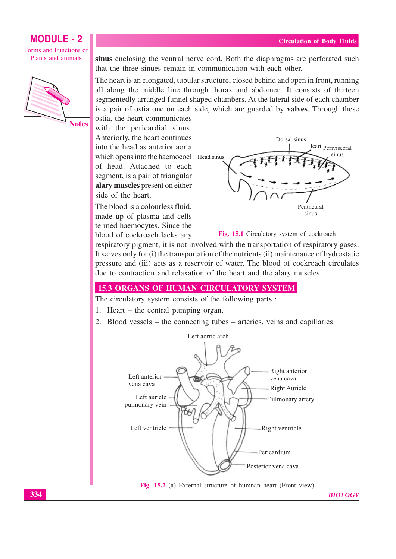Forms and Functions of Plants and animals



sinus enclosing the ventral nerve cord. Both the diaphragms are perforated such that the three sinues remain in communication with each other.

The heart is an elongated, tubular structure, closed behind and open in front, running all along the middle line through thorax and abdomen. It consists of thirteen segmentedly arranged funnel shaped chambers. At the lateral side of each chamber is a pair of ostia one on each side, which are guarded by **valves**. Through these

ostia, the heart communicates with the pericardial sinus. Anteriorly, the heart continues into the head as anterior aorta which opens into the haemocoel Head sinus of head. Attached to each segment, is a pair of triangular alary muscles present on either side of the heart.

The blood is a colourless fluid. made up of plasma and cells termed haemocytes. Since the blood of cockroach lacks any





respiratory pigment, it is not involved with the transportation of respiratory gases. It serves only for (i) the transportation of the nutrients (ii) maintenance of hydrostatic pressure and (iii) acts as a reservoir of water. The blood of cockroach circulates due to contraction and relaxation of the heart and the alary muscles.

### **15.3 ORGANS OF HUMAN CIRCULATORY SYSTEM**

The circulatory system consists of the following parts :

- 1. Heart  $-$  the central pumping organ.
- 2. Blood vessels the connecting tubes arteries, veins and capillaries.



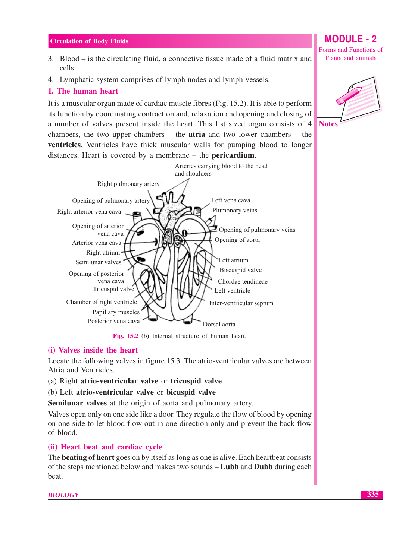- 3. Blood is the circulating fluid, a connective tissue made of a fluid matrix and cells.
- 4. Lymphatic system comprises of lymph nodes and lymph vessels.

#### 1. The human heart

It is a muscular organ made of cardiac muscle fibres (Fig. 15.2). It is able to perform its function by coordinating contraction and, relaxation and opening and closing of a number of valves present inside the heart. This fist sized organ consists of 4 chambers, the two upper chambers  $-$  the **atria** and two lower chambers  $-$  the **ventricles.** Ventricles have thick muscular walls for pumping blood to longer distances. Heart is covered by a membrane  $-$  the **pericardium**.



Fig. 15.2 (b) Internal structure of human heart.

#### (i) Valves inside the heart

Locate the following valves in figure 15.3. The atrio-ventricular valves are between Atria and Ventricles.

(a) Right atrio-ventricular valve or tricuspid valve

(b) Left atrio-ventricular valve or bicuspid valve

**Semilunar valves** at the origin of aorta and pulmonary artery.

Valves open only on one side like a door. They regulate the flow of blood by opening on one side to let blood flow out in one direction only and prevent the back flow of blood.

### (ii) Heart beat and cardiac cycle

The **beating of heart** goes on by itself as long as one is alive. Each heartbeat consists of the steps mentioned below and makes two sounds – **Lubb** and **Dubb** during each beat.

**MODULE - 2** 

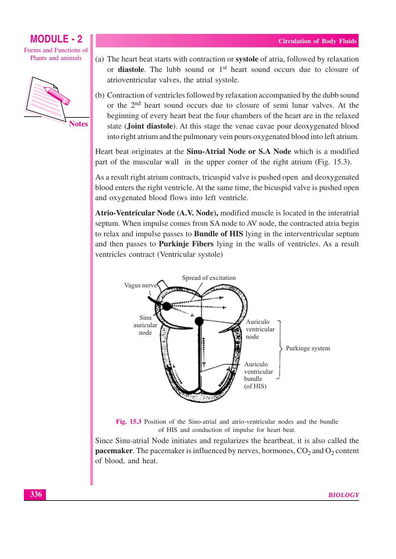#### **MODULE - 2** Forms and Functions of

Plants and animals



(a) The heart beat starts with contraction or systole of atria, followed by relaxation or **diastole**. The lubb sound or 1<sup>st</sup> heart sound occurs due to closure of atrioventricular valves, the atrial systole.

(b) Contraction of ventricles followed by relaxation accompanied by the dubb sound or the 2<sup>nd</sup> heart sound occurs due to closure of semi lunar valves. At the beginning of every heart beat the four chambers of the heart are in the relaxed state (Joint diastole). At this stage the venae cavae pour deoxygenated blood into right atrium and the pulmonary vein pours oxygenated blood into left atrium.

Heart beat originates at the Sinu-Atrial Node or S.A Node which is a modified part of the muscular wall in the upper corner of the right atrium (Fig. 15.3).

As a result right atrium contracts, tricuspid valve is pushed open and deoxygenated blood enters the right ventricle. At the same time, the bicuspid valve is pushed open and oxygenated blood flows into left ventricle.

Atrio-Ventricular Node (A.V. Node), modified muscle is located in the interatrial septum. When impulse comes from SA node to AV node, the contracted atria begin to relax and impulse passes to **Bundle of HIS** lying in the interventricular septum and then passes to **Purkinje Fibers** lying in the walls of ventricles. As a result ventricles contract (Ventricular systole)



Fig. 15.3 Position of the Sino-atrial and atrio-ventricular nodes and the bundle of HIS and conduction of impulse for heart beat.

Since Sinu-atrial Node initiates and regularizes the heartbeat, it is also called the **pacemaker**. The pacemaker is influenced by nerves, hormones,  $CO_2$  and  $O_2$  content of blood, and heat.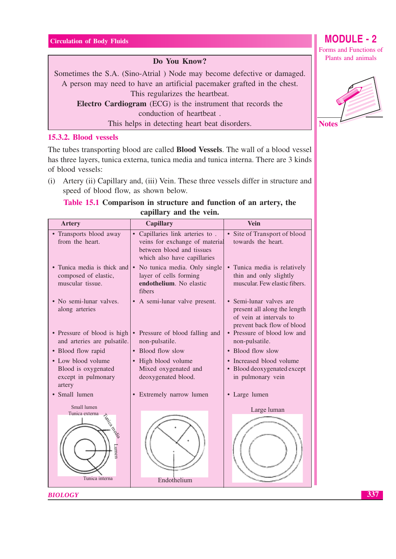#### Do You Know?

Sometimes the S.A. (Sino-Atrial) Node may become defective or damaged. A person may need to have an artificial pacemaker grafted in the chest. This regularizes the heartbeat.

**Electro Cardiogram** (ECG) is the instrument that records the conduction of heartbeat.

This helps in detecting heart beat disorders.

15.3.2. Blood vessels

The tubes transporting blood are called **Blood Vessels**. The wall of a blood vessel has three layers, tunica externa, tunica media and tunica interna. There are 3 kinds of blood vessels:

(i) Artery (ii) Capillary and, (iii) Vein. These three vessels differ in structure and speed of blood flow, as shown below.

### Table 15.1 Comparison in structure and function of an artery, the capillary and the vein.

| <b>Artery</b>                                                              | <b>Capillary</b>                                                                                                                         | <b>Vein</b>                                                                                                                 |
|----------------------------------------------------------------------------|------------------------------------------------------------------------------------------------------------------------------------------|-----------------------------------------------------------------------------------------------------------------------------|
| • Transports blood away<br>from the heart.                                 | Capillaries link arteries to.<br>$\bullet$<br>veins for exchange of material<br>between blood and tissues<br>which also have capillaries | • Site of Transport of blood<br>towards the heart.                                                                          |
| • Tunica media is thick and<br>composed of elastic,<br>muscular tissue.    | • No tunica media. Only single<br>layer of cells forming<br>endothelium. No elastic<br>fibers                                            | • Tunica media is relatively<br>thin and only slightly<br>muscular. Few elastic fibers.                                     |
| • No semi-lunar valves.<br>along arteries                                  | • A semi-lunar valve present.                                                                                                            | Semi-lunar valves are<br>$\bullet$<br>present all along the length<br>of vein at intervals to<br>prevent back flow of blood |
| • Pressure of blood is high<br>and arteries are pulsatile.                 | Pressure of blood falling and<br>non-pulsatile.                                                                                          | Pressure of blood low and<br>non-pulsatile.                                                                                 |
| • Blood flow rapid                                                         | • Blood flow slow                                                                                                                        | • Blood flow slow                                                                                                           |
| • Low blood volume<br>Blood is oxygenated<br>except in pulmonary<br>artery | • High blood volume<br>Mixed oxygenated and<br>deoxygenated blood.                                                                       | • Increased blood volume<br>• Blood deoxygenated except<br>in pulmonary vein                                                |
| Small lumen                                                                | • Extremely narrow lumen                                                                                                                 | • Large lumen                                                                                                               |
| Small lumen<br>Tunica externa<br>Tunica media<br>umet.<br>Tunica interna   | Endothelium                                                                                                                              | Large luman                                                                                                                 |

**BIOLOGY** 

# **MODULE - 2**

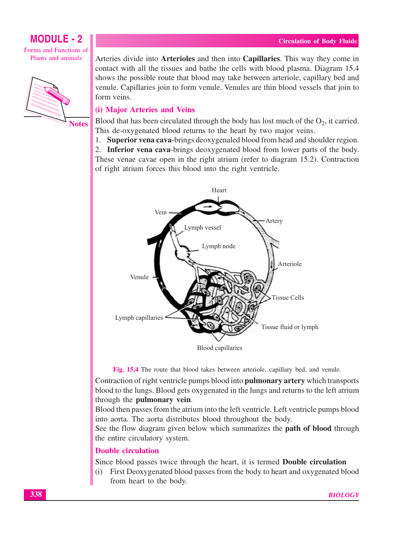Forms and Functions of Plants and animals



Arteries divide into **Arterioles** and then into **Capillaries**. This way they come in contact with all the tissues and bathe the cells with blood plasma. Diagram 15.4 shows the possible route that blood may take between arteriole, capillary bed and venule. Capillaries join to form venule. Venules are thin blood vessels that join to form veins.

### (i) Major Arteries and Veins

Blood that has been circulated through the body has lost much of the  $O_2$ , it carried. This de-oxygenated blood returns to the heart by two major veins.

1. Superior vena cava-brings deoxygenaled blood from head and shoulder region.

2. Inferior vena cava-brings deoxygenated blood from lower parts of the body. These venae cavae open in the right atrium (refer to diagram 15.2). Contraction of right atrium forces this blood into the right ventricle.



Fig. 15.4 The route that blood takes between arteriole, capillary bed, and venule.

Contraction of right ventricle pumps blood into pulmonary artery which transports blood to the lungs. Blood gets oxygenated in the lungs and returns to the left atrium through the pulmonary vein.

Blood then passes from the atrium into the left ventricle. Left ventricle pumps blood into aorta. The aorta distributes blood throughout the body.

See the flow diagram given below which summarizes the **path of blood** through the entire circulatory system.

#### **Double circulation**

Since blood passes twice through the heart, it is termed Double circulation

First Deoxygenated blood passes from the body to heart and oxygenated blood  $(i)$ from heart to the body.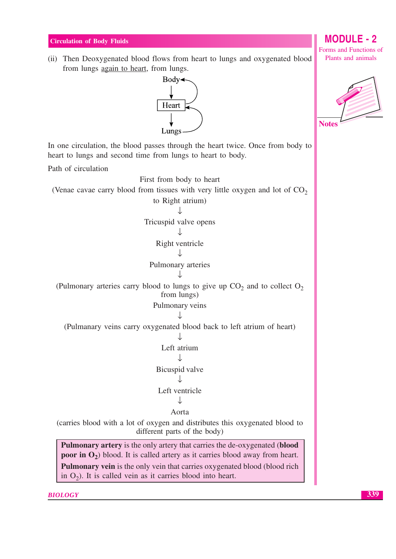(ii) Then Deoxygenated blood flows from heart to lungs and oxygenated blood from lungs again to heart, from lungs.



In one circulation, the blood passes through the heart twice. Once from body to heart to lungs and second time from lungs to heart to body.

Path of circulation

First from body to heart (Venae cavae carry blood from tissues with very little oxygen and lot of  $CO<sub>2</sub>$ to Right atrium)  $\overline{1}$ Tricuspid valve opens  $\cdot$ Right ventricle  $\perp$ Pulmonary arteries (Pulmonary arteries carry blood to lungs to give up  $CO<sub>2</sub>$  and to collect  $O<sub>2</sub>$ from lungs) Pulmonary veins  $\overline{1}$ (Pulmanary veins carry oxygenated blood back to left atrium of heart)  $\downarrow$ Left atrium J Bicuspid valve J Left ventricle J Aorta

(carries blood with a lot of oxygen and distributes this oxygenated blood to different parts of the body)

**Pulmonary artery** is the only artery that carries the de-oxygenated (blood **poor in**  $O_2$ ) blood. It is called artery as it carries blood away from heart. **Pulmonary vein** is the only vein that carries oxygenated blood (blood rich in  $O_2$ ). It is called vein as it carries blood into heart.

**BIOLOGY** 

## **MODULE - 2**

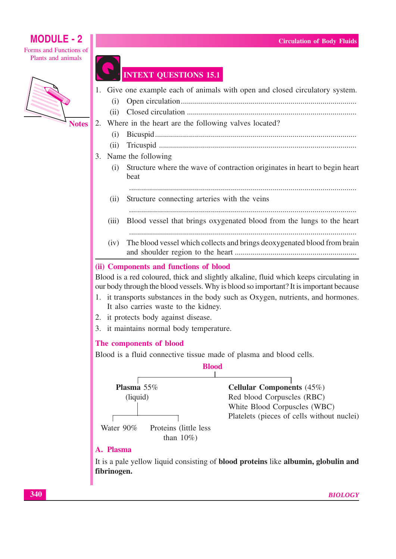Forms and Functions of Plants and animals



### **INTEXT QUESTIONS 15.1**

- 1. Give one example each of animals with open and closed circulatory system.
	- $(i)$
	- $(ii)$

#### 2. Where in the heart are the following valves located?

- $(i)$
- $(ii)$
- 3. Name the following
	- Structure where the wave of contraction originates in heart to begin heart  $(i)$ beat
		-
	- $(ii)$ Structure connecting arteries with the veins
	- $(iii)$ Blood vessel that brings oxygenated blood from the lungs to the heart

The blood vessel which collects and brings deoxygenated blood from brain  $(iv)$ 

### (ii) Components and functions of blood

Blood is a red coloured, thick and slightly alkaline, fluid which keeps circulating in our body through the blood vessels. Why is blood so important? It is important because

- 1. it transports substances in the body such as Oxygen, nutrients, and hormones. It also carries waste to the kidney.
- 2. it protects body against disease.
- 3. it maintains normal body temperature.

#### The components of blood

Blood is a fluid connective tissue made of plasma and blood cells.



### A. Plasma

It is a pale yellow liquid consisting of **blood proteins** like **albumin**, globulin and fibrinogen.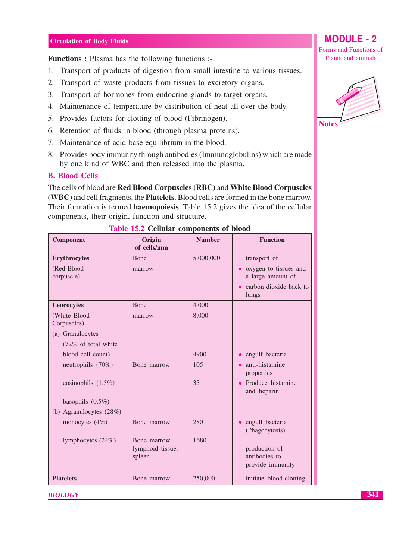**Functions:** Plasma has the following functions:

- 1. Transport of products of digestion from small intestine to various tissues.
- 2. Transport of waste products from tissues to excretory organs.
- 3. Transport of hormones from endocrine glands to target organs.
- 4. Maintenance of temperature by distribution of heat all over the body.
- 5. Provides factors for clotting of blood (Fibrinogen).
- 6. Retention of fluids in blood (through plasma proteins).
- 7. Maintenance of acid-base equilibrium in the blood.
- 8. Provides body immunity through antibodies (Immunoglobulins) which are made by one kind of WBC and then released into the plasma.

#### **B. Blood Cells**

The cells of blood are Red Blood Corpuscles (RBC) and White Blood Corpuscles (WBC) and cell fragments, the **Platelets**. Blood cells are formed in the bone marrow. Their formation is termed **haemopoiesis**. Table 15.2 gives the idea of the cellular components, their origin, function and structure.

| Component                   | Origin<br><b>Number</b><br>of cells/mm |           | <b>Function</b>                            |
|-----------------------------|----------------------------------------|-----------|--------------------------------------------|
| <b>Erythrocytes</b>         | <b>B</b> one                           | 5.000,000 | transport of                               |
| (Red Blood<br>corpuscle)    | marrow                                 |           | oxygen to tissues and<br>a large amount of |
|                             |                                        |           | • carbon dioxide back to<br>lungs          |
| Leucocytes                  | <b>Bone</b>                            | 4,000     |                                            |
| (White Blood<br>Corpuscles) | marrow                                 | 8,000     |                                            |
| (a) Granulocytes            |                                        |           |                                            |
| (72% of total white         |                                        |           |                                            |
| blood cell count)           |                                        | 4900      | engulf bacteria                            |
| neutrophils (70%)           | Bone marrow                            | 105       | anti-histamine<br>properties               |
| eosinophils $(1.5\%)$       |                                        | 35        | • Produce histamine<br>and heparin         |
| basophils $(0.5\%)$         |                                        |           |                                            |
| (b) Agranulocytes $(28%)$   |                                        |           |                                            |
| monocytes $(4\%)$           | Bone marrow                            | 280       | engulf bacteria<br>(Phagocytosis)          |
| lymphocytes $(24%)$         | Bone marrow,                           | 1680      |                                            |
|                             | lymphoid tissue,                       |           | production of<br>antibodies to             |
|                             | spleen                                 |           | provide immunity                           |
| <b>Platelets</b>            | Bone marrow                            | 250,000   | initiate blood-clotting                    |

#### Table 15.2 Cellular components of blood

**BIOLOGY** 



**MODULE - 2** 

Forms and Functions of

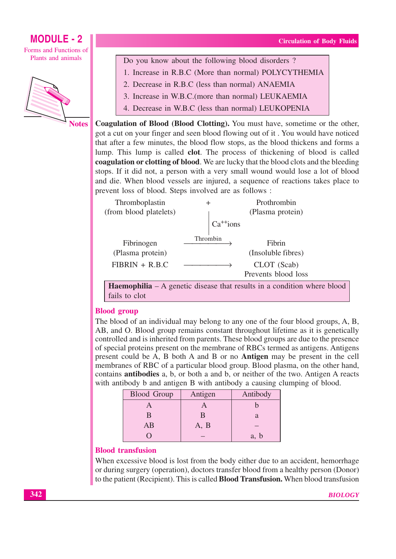**MODULE - 2** Forms and Functions of Plants and animals



Do you know about the following blood disorders?

- 1. Increase in R.B.C (More than normal) POLYCYTHEMIA
- 2. Decrease in R.B.C (less than normal) ANAEMIA
- 3. Increase in W.B.C. (more than normal) LEUKAEMIA
- 4. Decrease in W.B.C (less than normal) LEUKOPENIA

**Coagulation of Blood (Blood Clotting).** You must have, sometime or the other, got a cut on your finger and seen blood flowing out of it. You would have noticed that after a few minutes, the blood flow stops, as the blood thickens and forms a lump. This lump is called clot. The process of thickening of blood is called coagulation or clotting of blood. We are lucky that the blood clots and the bleeding stops. If it did not, a person with a very small wound would lose a lot of blood and die. When blood vessels are injured, a sequence of reactions takes place to prevent loss of blood. Steps involved are as follows :

| Thromboplastin         | +              | Prothrombin         |
|------------------------|----------------|---------------------|
| (from blood platelets) |                | (Plasma protein)    |
|                        | $Ca^{++}$ ions |                     |
| Fibrinogen             | Thrombin       | Fibrin              |
| (Plasma protein)       |                | (Insoluble fibres)  |
| $FIBRIN + R.B.C$       |                | CLOT (Scab)         |
|                        |                | Prevents blood loss |

**Haemophilia**  $- A$  genetic disease that results in a condition where blood fails to clot

### **Blood group**

The blood of an individual may belong to any one of the four blood groups, A, B, AB, and O. Blood group remains constant throughout lifetime as it is genetically controlled and is inherited from parents. These blood groups are due to the presence of special proteins present on the membrane of RBCs termed as antigens. Antigens present could be A, B both A and B or no **Antigen** may be present in the cell membranes of RBC of a particular blood group. Blood plasma, on the other hand, contains **antibodies** a, b, or both a and b, or neither of the two. Antigen A reacts with antibody b and antigen B with antibody a causing clumping of blood.

| <b>Blood Group</b> | Antigen | Antibody |
|--------------------|---------|----------|
|                    |         |          |
| В                  |         |          |
| AB                 | A, B    |          |
|                    |         | a, b     |

#### **Blood transfusion**

When excessive blood is lost from the body either due to an accident, hemorrhage or during surgery (operation), doctors transfer blood from a healthy person (Donor) to the patient (Recipient). This is called **Blood Transfusion.** When blood transfusion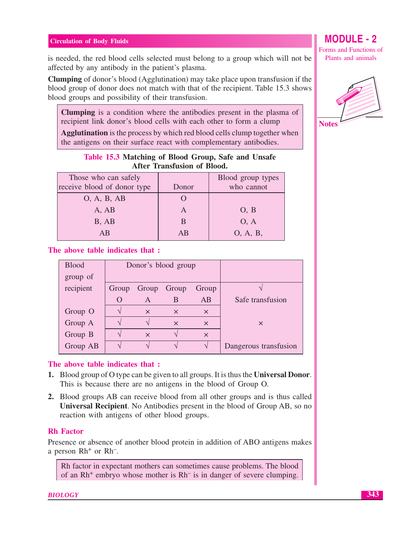$\overline{\phantom{a}}$ 

is needed, the red blood cells selected must belong to a group which will not be affected by any antibody in the patient's plasma.

**Clumping** of donor's blood (Agglutination) may take place upon transfusion if the blood group of donor does not match with that of the recipient. Table 15.3 shows blood groups and possibility of their transfusion.

Clumping is a condition where the antibodies present in the plasma of recipient link donor's blood cells with each other to form a clump

**Agglutination** is the process by which red blood cells clump together when the antigens on their surface react with complementary antibodies.

| Table 15.3 Matching of Blood Group, Safe and Unsafe<br>After Transfusion of Blood. |  |                     |  |
|------------------------------------------------------------------------------------|--|---------------------|--|
| ose who can safely                                                                 |  | $Bload$ group types |  |

| Those who can safely        |       | Blood group types |
|-----------------------------|-------|-------------------|
| receive blood of donor type | Donor | who cannot        |
| O, A, B, AB                 |       |                   |
| A, AB                       |       | O, B              |
| B, AB                       | B     | O, A              |
| AВ                          | AB    | O, A, B,          |
|                             |       |                   |

#### The above table indicates that :

| <b>Blood</b> | Donor's blood group |             |          |          |                       |
|--------------|---------------------|-------------|----------|----------|-----------------------|
| group of     |                     |             |          |          |                       |
| recipient    | Group               | Group Group |          | Group    |                       |
|              |                     | A           | B        | AB       | Safe transfusion      |
| Group O      |                     | $\times$    | $\times$ | $\times$ |                       |
| Group A      |                     |             | $\times$ | $\times$ | $\times$              |
| Group B      |                     | $\times$    |          | $\times$ |                       |
| Group AB     |                     |             |          |          | Dangerous transfusion |

#### The above table indicates that:

- 1. Blood group of O type can be given to all groups. It is thus the Universal Donor. This is because there are no antigens in the blood of Group O.
- 2. Blood groups AB can receive blood from all other groups and is thus called Universal Recipient. No Antibodies present in the blood of Group AB, so no reaction with antigens of other blood groups.

#### **Rh** Factor

Presence or absence of another blood protein in addition of ABO antigens makes a person Rh<sup>+</sup> or Rh<sup>-</sup>.

Rh factor in expectant mothers can sometimes cause problems. The blood of an  $Rh^+$  embryo whose mother is  $Rh^-$  is in danger of severe clumping.

**BIOLOGY** 

**MODULE-2** 

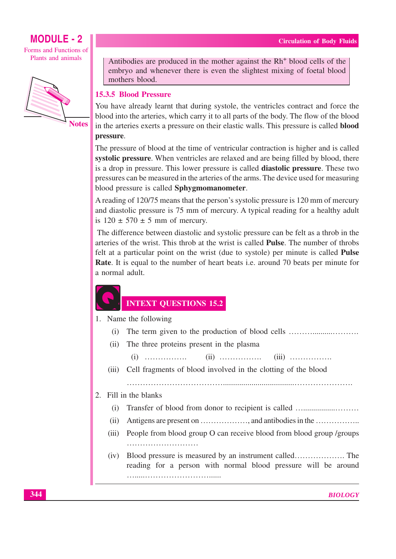Forms and Functions of Plants and animals



Antibodies are produced in the mother against the Rh<sup>+</sup> blood cells of the embryo and whenever there is even the slightest mixing of foetal blood mothers blood.

### **15.3.5 Blood Pressure**

You have already learnt that during systole, the ventricles contract and force the blood into the arteries, which carry it to all parts of the body. The flow of the blood in the arteries exerts a pressure on their elastic walls. This pressure is called **blood** pressure.

The pressure of blood at the time of ventricular contraction is higher and is called systolic pressure. When ventricles are relaxed and are being filled by blood, there is a drop in pressure. This lower pressure is called **diastolic pressure**. These two pressures can be measured in the arteries of the arms. The device used for measuring blood pressure is called Sphygmomanometer.

A reading of 120/75 means that the person's systolic pressure is 120 mm of mercury and diastolic pressure is 75 mm of mercury. A typical reading for a healthy adult is  $120 \pm 570 \pm 5$  mm of mercury.

The difference between diastolic and systolic pressure can be felt as a throb in the arteries of the wrist. This throb at the wrist is called **Pulse**. The number of throbs felt at a particular point on the wrist (due to systole) per minute is called **Pulse Rate.** It is equal to the number of heart beats i.e. around 70 beats per minute for a normal adult.

### **INTEXT QUESTIONS 15.2**

1. Name the following

- $(i)$
- The three proteins present in the plasma  $(ii)$ 
	- $(i)$  ................  $(ii)$  ...............  $(iii)$  ...............
- Cell fragments of blood involved in the clotting of the blood  $(iii)$

2. Fill in the blanks

- $(i)$
- $(ii)$
- People from blood group O can receive blood from blood group /groups  $(iii)$
- $(iv)$ reading for a person with normal blood pressure will be around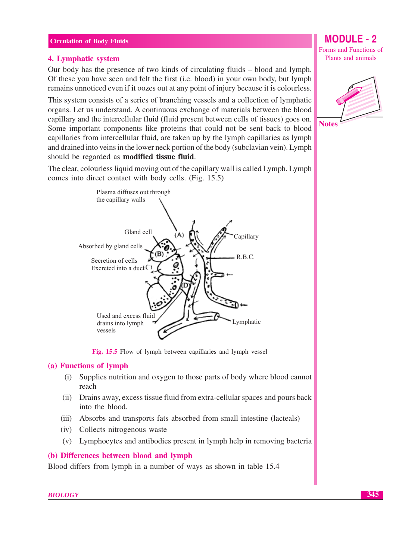#### 4. Lymphatic system

Our body has the presence of two kinds of circulating fluids – blood and lymph. Of these you have seen and felt the first (i.e. blood) in your own body, but lymph remains unnoticed even if it oozes out at any point of injury because it is colourless.

This system consists of a series of branching vessels and a collection of lymphatic organs. Let us understand. A continuous exchange of materials between the blood capillary and the intercellular fluid (fluid present between cells of tissues) goes on. Some important components like proteins that could not be sent back to blood capillaries from intercellular fluid, are taken up by the lymph capillaries as lymph and drained into veins in the lower neck portion of the body (subclavian vein). Lymph should be regarded as **modified tissue fluid**.

The clear, colourless liquid moving out of the capillary wall is called Lymph. Lymph comes into direct contact with body cells. (Fig. 15.5)



Fig. 15.5 Flow of lymph between capillaries and lymph vessel

#### (a) Functions of lymph

- Supplies nutrition and oxygen to those parts of body where blood cannot  $(i)$ reach
- (ii) Drains away, excess tissue fluid from extra-cellular spaces and pours back into the blood.
- (iii) Absorbs and transports fats absorbed from small intestine (lacteals)
- (iv) Collects nitrogenous waste
- (v) Lymphocytes and antibodies present in lymph help in removing bacteria

#### (b) Differences between blood and lymph

Blood differs from lymph in a number of ways as shown in table 15.4

**MODULE - 2** 

Forms and Functions of Plants and animals



**BIOLOGY**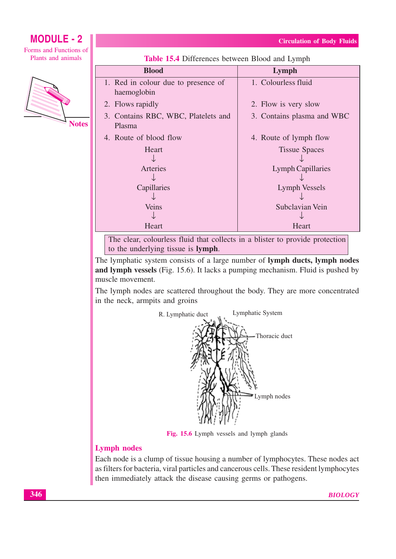# **MODULE - 2**

Forms and Functions of Plants and animals



| <b>Blood</b>                                       | Lymph                      |
|----------------------------------------------------|----------------------------|
| 1. Red in colour due to presence of<br>haemoglobin | 1. Colourless fluid        |
| 2. Flows rapidly                                   | 2. Flow is very slow       |
| 3. Contains RBC, WBC, Platelets and<br>Plasma      | 3. Contains plasma and WBC |
| 4. Route of blood flow                             | 4. Route of lymph flow     |
| Heart                                              | <b>Tissue Spaces</b>       |
| Arteries                                           | <b>Lymph Capillaries</b>   |
|                                                    |                            |
| Capillaries                                        | Lymph Vessels              |
|                                                    |                            |
| Veins                                              | Subclavian Vein            |
|                                                    |                            |
| Heart                                              | Heart                      |

Table 15.4 Differences between Blood and Lymph

The clear, colourless fluid that collects in a blister to provide protection to the underlying tissue is lymph.

The lymphatic system consists of a large number of lymph ducts, lymph nodes and lymph vessels (Fig. 15.6). It lacks a pumping mechanism. Fluid is pushed by muscle movement.

The lymph nodes are scattered throughout the body. They are more concentrated in the neck, armpits and groins



Fig. 15.6 Lymph vessels and lymph glands

### **Lymph nodes**

Each node is a clump of tissue housing a number of lymphocytes. These nodes act as filters for bacteria, viral particles and cancerous cells. These resident lymphocytes then immediately attack the disease causing germs or pathogens.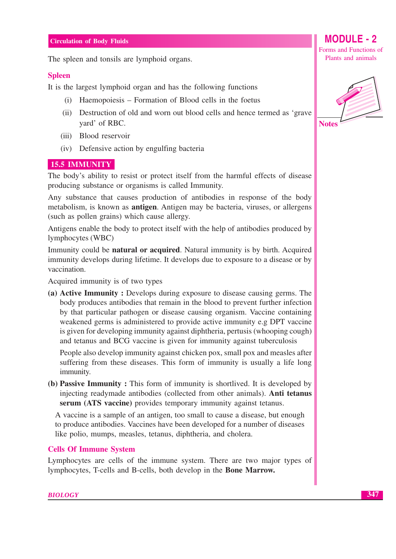The spleen and tonsils are lymphoid organs.

#### **Spleen**

It is the largest lymphoid organ and has the following functions

- (i) Haemopoiesis Formation of Blood cells in the foetus
- (ii) Destruction of old and worn out blood cells and hence termed as 'grave vard' of RBC.
- (iii) Blood reservoir
- (iv) Defensive action by engulfing bacteria

#### **15.5 IMMUNITY**

The body's ability to resist or protect itself from the harmful effects of disease producing substance or organisms is called Immunity.

Any substance that causes production of antibodies in response of the body metabolism, is known as **antigen**. Antigen may be bacteria, viruses, or allergens (such as pollen grains) which cause allergy.

Antigens enable the body to protect itself with the help of antibodies produced by lymphocytes (WBC)

Immunity could be **natural or acquired**. Natural immunity is by birth. Acquired immunity develops during lifetime. It develops due to exposure to a disease or by vaccination.

Acquired immunity is of two types

(a) Active Immunity: Develops during exposure to disease causing germs. The body produces antibodies that remain in the blood to prevent further infection by that particular pathogen or disease causing organism. Vaccine containing weakened germs is administered to provide active immunity e.g DPT vaccine is given for developing immunity against diphtheria, pertusis (whooping cough) and tetanus and BCG vaccine is given for immunity against tuberculosis

People also develop immunity against chicken pox, small pox and measles after suffering from these diseases. This form of immunity is usually a life long immunity.

(b) Passive Immunity: This form of immunity is shortlived. It is developed by injecting readymade antibodies (collected from other animals). Anti tetanus serum (ATS vaccine) provides temporary immunity against tetanus.

A vaccine is a sample of an antigen, too small to cause a disease, but enough to produce antibodies. Vaccines have been developed for a number of diseases like polio, mumps, measles, tetanus, diphtheria, and cholera.

#### **Cells Of Immune System**

Lymphocytes are cells of the immune system. There are two major types of lymphocytes, T-cells and B-cells, both develop in the Bone Marrow.

# Forms and Functions of Plants and animals

**MODULE - 2** 

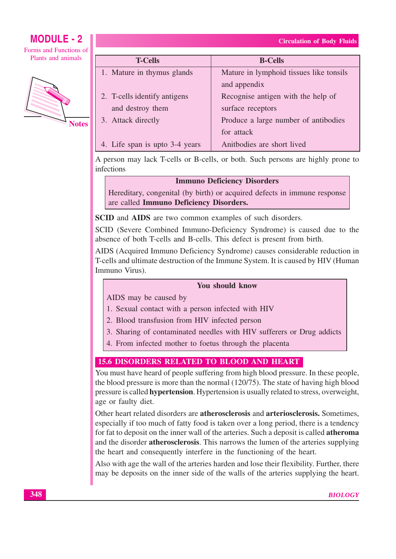### **MODULE - 2** Forms and Functions of

Plants and animals



| <b>T-Cells</b>                 | <b>B-Cells</b>                          |
|--------------------------------|-----------------------------------------|
| 1. Mature in thymus glands     | Mature in lymphoid tissues like tonsils |
|                                | and appendix                            |
| 2. T-cells identify antigens   | Recognise antigen with the help of      |
| and destroy them               | surface receptors                       |
| 3. Attack directly             | Produce a large number of antibodies    |
|                                | for attack                              |
| 4. Life span is upto 3-4 years | Anitbodies are short lived              |

A person may lack T-cells or B-cells, or both. Such persons are highly prone to infections

#### **Immuno Deficiency Disorders**

Hereditary, congenital (by birth) or acquired defects in immune response are called Immuno Deficiency Disorders.

**SCID** and **AIDS** are two common examples of such disorders.

SCID (Severe Combined Immuno-Deficiency Syndrome) is caused due to the absence of both T-cells and B-cells. This defect is present from birth.

AIDS (Acquired Immuno Deficiency Syndrome) causes considerable reduction in T-cells and ultimate destruction of the Immune System. It is caused by HIV (Human Immuno Virus).

#### **You should know**

AIDS may be caused by

- 1. Sexual contact with a person infected with HIV
- 2. Blood transfusion from HIV infected person
- 3. Sharing of contaminated needles with HIV sufferers or Drug addicts
- 4. From infected mother to foetus through the placenta

### **15.6 DISORDERS RELATED TO BLOOD AND HEART**

You must have heard of people suffering from high blood pressure. In these people, the blood pressure is more than the normal  $(120/75)$ . The state of having high blood pressure is called **hypertension**. Hypertension is usually related to stress, overweight, age or faulty diet.

Other heart related disorders are atherosclerosis and arteriosclerosis. Sometimes, especially if too much of fatty food is taken over a long period, there is a tendency for fat to deposit on the inner wall of the arteries. Such a deposit is called **atheroma** and the disorder atherosclerosis. This narrows the lumen of the arteries supplying the heart and consequently interfere in the functioning of the heart.

Also with age the wall of the arteries harden and lose their flexibility. Further, there may be deposits on the inner side of the walls of the arteries supplying the heart.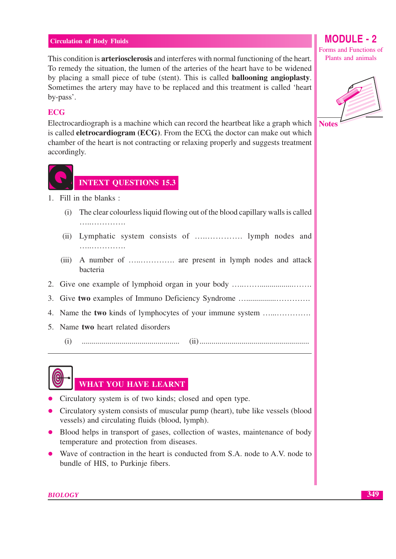This condition is **arteriosclerosis** and interferes with normal functioning of the heart. To remedy the situation, the lumen of the arteries of the heart have to be widened by placing a small piece of tube (stent). This is called **ballooning angioplasty**. Sometimes the artery may have to be replaced and this treatment is called 'heart by-pass'.

### **ECG**

Electrocardiograph is a machine which can record the heartbeat like a graph which is called **eletrocardiogram** (ECG). From the ECG, the doctor can make out which chamber of the heart is not contracting or relaxing properly and suggests treatment accordingly.



- 1. Fill in the blanks:
	- The clear colourless liquid flowing out of the blood capillary walls is called  $(i)$ . . . . . . . . . . . . . . . . . . .
	- . . . . . . . . . . . . . . . . . .
	- bacteria
- 
- 3. Give two examples of Immuno Deficiency Syndrome ..............................
- 4. Name the two kinds of lymphocytes of your immune system .....................
- 5. Name two heart related disorders
	- $(i)$



### WHAT YOU HAVE LEARNT

- Circulatory system is of two kinds; closed and open type.
- Circulatory system consists of muscular pump (heart), tube like vessels (blood vessels) and circulating fluids (blood, lymph).
- Blood helps in transport of gases, collection of wastes, maintenance of body temperature and protection from diseases.
- Wave of contraction in the heart is conducted from S.A. node to A.V. node to bundle of HIS, to Purkinje fibers.

# **MODULE - 2**

Forms and Functions of Plants and animals



349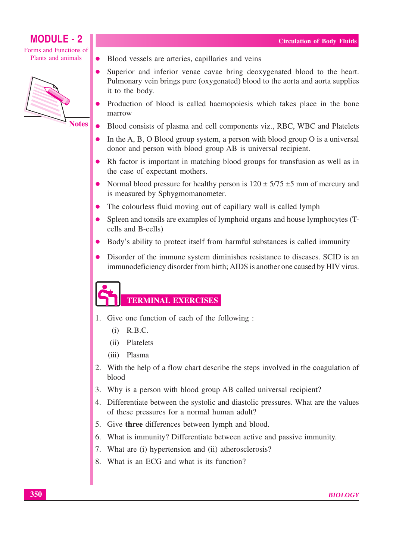Forms and Functions of Plants and animals

 $\bullet$ 



- Blood vessels are arteries, capillaries and veins
- Superior and inferior venae cavae bring deoxygenated blood to the heart. Pulmonary vein brings pure (oxygenated) blood to the aorta and aorta supplies it to the body.
- Production of blood is called haemopoiesis which takes place in the bone marrow
- Blood consists of plasma and cell components viz., RBC, WBC and Platelets
- In the A, B, O Blood group system, a person with blood group  $O$  is a universal donor and person with blood group AB is universal recipient.
- Rh factor is important in matching blood groups for transfusion as well as in the case of expectant mothers.
- Normal blood pressure for healthy person is  $120 \pm 5/75 \pm 5$  mm of mercury and is measured by Sphygmomanometer.
- The colourless fluid moving out of capillary wall is called lymph
- Spleen and tonsils are examples of lymphoid organs and house lymphocytes (Tcells and B-cells)
- Body's ability to protect itself from harmful substances is called immunity
- Disorder of the immune system diminishes resistance to diseases. SCID is an  $\bullet$ immunodeficiency disorder from birth; AIDS is another one caused by HIV virus.

# **TERMINAL EXERCISES**

- 1. Give one function of each of the following :
	- $(i)$  R.B.C.
	- $(ii)$ Platelets
	- $(iii)$ Plasma
- 2. With the help of a flow chart describe the steps involved in the coagulation of blood
- 3. Why is a person with blood group AB called universal recipient?
- 4. Differentiate between the systolic and diastolic pressures. What are the values of these pressures for a normal human adult?
- 5. Give three differences between lymph and blood.
- 6. What is immunity? Differentiate between active and passive immunity.
- 7. What are (i) hypertension and (ii) atherosclerosis?
- 8. What is an ECG and what is its function?